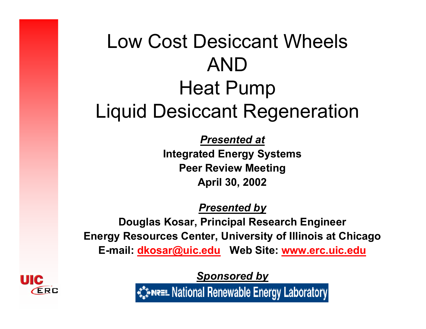## Low Cost Desiccant WheelsANDHeat Pump Liquid Desiccant Regeneration

*Presented at* **Integrated Energy Systems Peer Review Meeting April 30, 2002**

*Presented by*

**Douglas Kosar, Principal Research Engineer Energy Resources Center, University of Illinois at Chicago E-mail: dkosar@uic.edu Web Site: www.erc.uic.edu**

*Sponsored by*

ร้\*พละ National Renewable Energy Laboratory

ERC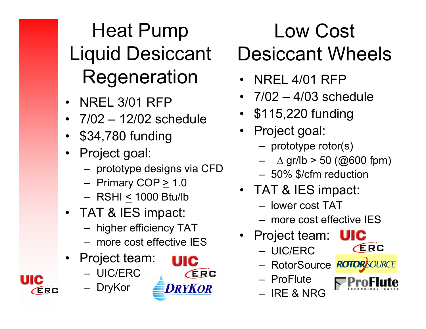## Heat Pump Liquid Desiccant Regeneration • NREL 4/01 RFP

- •NREL 3/01 RFP
- •7/02 – 12/02 schedule
- •\$34,780 funding
- • Project goal:
	- prototype designs via CFD
	- Primary COP <u>></u> 1.0
	- RSHI < 1000 Btu/lb
- TAT & IES impact:
	- higher efficiency TAT
	- more cost effective IES
- • Project team:
	- UIC/ERC
	- DryKor

ERC



## Low Cost Desiccant Wheels

- 
- 7/02 4/03 schedule
- \$115,220 funding
- Project goal:
	- prototype rotor(s)
	- ∆ gr/lb > 50 (@600 fpm)
	- 50% \$/cfm reduction
- TAT & IES impact:
	- lower cost TAT
	- more cost effective IES
- Project team:
	- UIC/ERC
	- RotorSource
	- ProFlute
	- IRE & NRG
- **ERC**
- 
-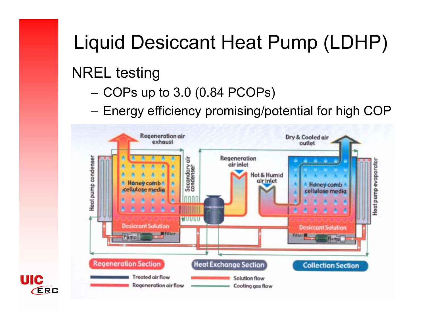## Liquid Desiccant Heat Pump (LDHP)

#### NREL testing

- COPs up to 3.0 (0.84 PCOPs)
- Energy efficiency promising/potential for high COP



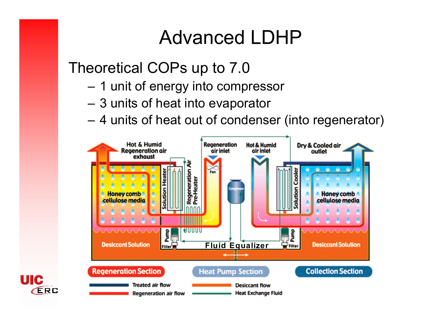#### Advanced LDHP

#### Theoretical COPs up to 7.0

- –1 unit of energy into compressor
- –3 units of heat into evaporator
- 4 units of heat out of condenser (into regenerator)



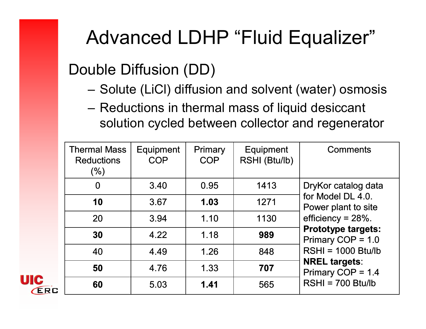#### Advanced LDHP "Fluid Equalizer"

#### Double Diffusion (DD)

- Solute (LiCl) diffusion and solvent (water) osmosis
- Reductions in thermal mass of liquid desiccant solution cycled between collector and regenerator

| <b>Thermal Mass</b><br><b>Reductions</b><br>(%) | Equipment<br><b>COP</b> | <b>Primary</b><br><b>COP</b> | <b>Equipment</b><br>RSHI (Btu/lb) | <b>Comments</b>                                                                                                                                                                                                                       |
|-------------------------------------------------|-------------------------|------------------------------|-----------------------------------|---------------------------------------------------------------------------------------------------------------------------------------------------------------------------------------------------------------------------------------|
| $\bf{0}$                                        | 3.40                    | 0.95                         | 1413                              | DryKor catalog data<br>for Model DL 4.0.<br>Power plant to site<br>efficiency = $28%$ .<br><b>Prototype targets:</b><br>Primary COP = 1.0<br>$RSHI = 1000 Btu/lb$<br><b>NREL targets:</b><br>Primary COP = 1.4<br>$RSHI = 700 Btu/lb$ |
| 10                                              | 3.67                    | 1.03                         | 1271                              |                                                                                                                                                                                                                                       |
| 20                                              | 3.94                    | 1.10                         | 1130                              |                                                                                                                                                                                                                                       |
| 30                                              | 4.22                    | 1.18                         | 989                               |                                                                                                                                                                                                                                       |
| 40                                              | 4.49                    | 1.26                         | 848                               |                                                                                                                                                                                                                                       |
| 50                                              | 4.76                    | 1.33                         | 707                               |                                                                                                                                                                                                                                       |
| 60                                              | 5.03                    | 1.41                         | 565                               |                                                                                                                                                                                                                                       |

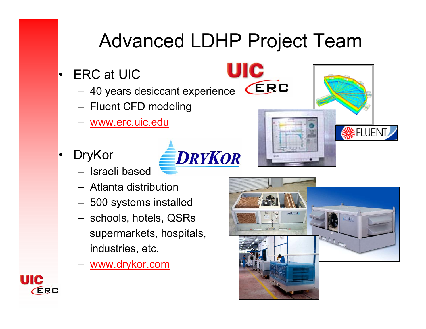## Advanced LDHP Project Team

UIC

**ERC** 

- • ERC at UIC
	- 40 years desiccant experience
	- Fluent CFD modeling
	- www.erc.uic.edu
- • DryKor
	- Israeli based
	- Atlanta distribution
	- 500 systems installed
	- schools, hotels, QSRs supermarkets, hospitals, industries, etc.
	- www.drykor.com





**SELUENT** 

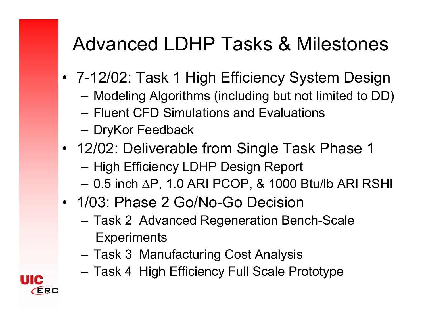#### Advanced LDHP Tasks & Milestones

- 7-12/02: Task 1 High Efficiency System Design
	- –Modeling Algorithms (including but not limited to DD)
	- Fluent CFD Simulations and Evaluations
	- DryKor Feedback
- 12/02: Deliverable from Single Task Phase 1
	- High Efficiency LDHP Design Report
	- 0.5 inch ∆P, 1.0 ARI PCOP, & 1000 Btu/lb ARI RSHI
- 1/03: Phase 2 Go/No-Go Decision
	- Task 2 Advanced Regeneration Bench-Scale **Experiments**
	- Task 3 Manufacturing Cost Analysis
	- –Task 4 High Efficiency Full Scale Prototype

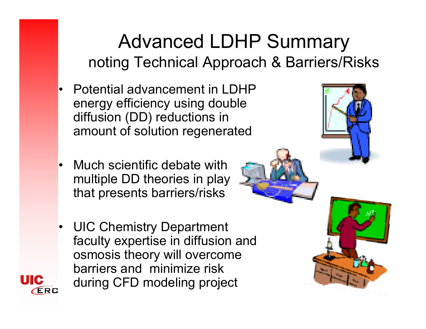#### Advanced LDHP Summary noting Technical Approach & Barriers/Risks

- • Potential advancement in LDHP energy efficiency using double diffusion (DD) reductions in amount of solution regenerated
- Much scientific debate with multiple DD theories in play that presents barriers/risks
- UIC Chemistry Department  $\bullet$ faculty expertise in diffusion and osmosis theory will overcome barriers and minimize risk during CFD modeling projectERC

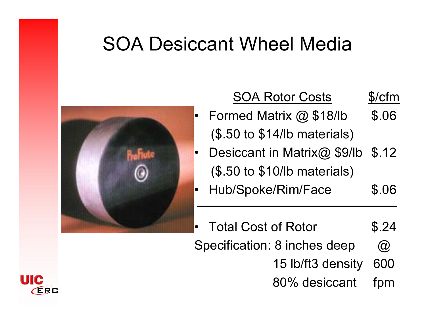#### SOA Desiccant Wheel Media



#### SOA Rotor Costs \$/cfm

#### Formed Matrix @ \$18/lb (\$.50 to \$14/lb materials) \$.06

- •Desiccant in Matrix@ \$9/lb (\$.50 to \$10/lb materials) \$.12
- • Hub/Spoke/Rim/Face \$.06
- • Total Cost of RotorSpecification: 8 inches deep \$.24  $\circledR$ 
	- 15 lb/ft3 density 600
	- 80% desiccant fpm

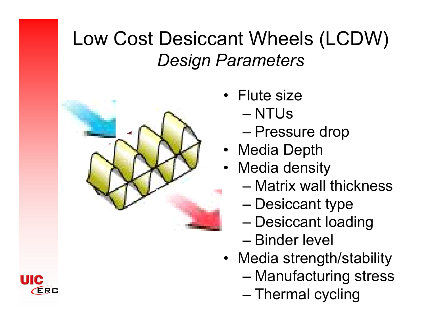#### Low Cost Desiccant Wheels (LCDW) *Design Parameters*



- Flute size
	- NTUs
	- Pressure drop
- Media Depth
- • Media density
	- Matrix wall thickness
	- Desiccant type
	- Desiccant loading
	- Binder level
- Media strength/stability
	- Manufacturing stress
	- Thermal cycling

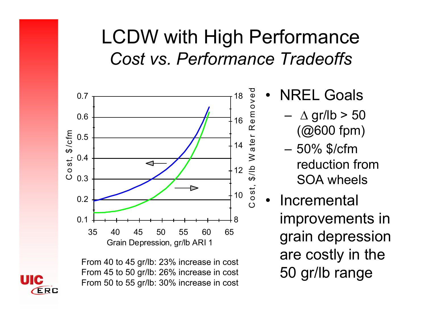#### LCDW with High Performance *Cost vs. Performance Tradeoffs*



From 40 to 45 gr/lb: 23% increase in cost From 45 to 50 gr/lb: 26% increase in cost From 50 to 55 gr/lb: 30% increase in cost

- • NREL Goals
	- –∆ gr/lb > 50 (@600 fpm)
	- 50% \$/cfm reduction from SOA wheels
	- • Incremental improvements in grain depression are costly in the 50 gr/lb range

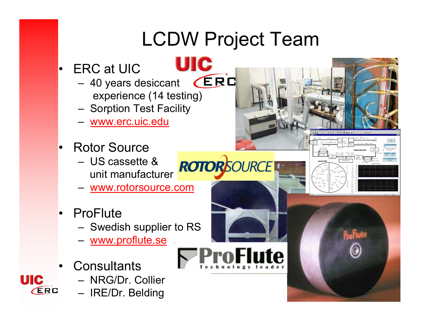# LCDW Project Team

- • ERC at UIC
	- **ERC**  40 years desiccant experience (14 testing)
	- Sorption Test Facility
	- www.erc.uic.edu
- • Rotor Source
	- US cassette & unit manufacturer
	- www.rotorsource.com
- ProFlute
	- Swedish supplier to RS
	- <u>www.proflute.se</u>
- •**Consultants**

UIC

ERC

- NRG/Dr. Collier
- IRE/Dr. Belding





**ROTOR**SOURCE

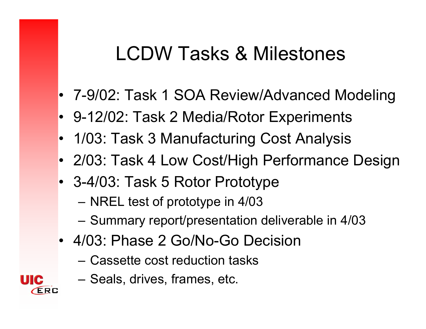#### LCDW Tasks & Milestones

- 7-9/02: Task 1 SOA Review/Advanced Modeling
- 9-12/02: Task 2 Media/Rotor Experiments
- 1/03: Task 3 Manufacturing Cost Analysis
- 2/03: Task 4 Low Cost/High Performance Design
- 3-4/03: Task 5 Rotor Prototype
	- –NREL test of prototype in 4/03
	- –Summary report/presentation deliverable in 4/03
- 4/03: Phase 2 Go/No-Go Decision
	- Cassette cost reduction tasks
	- Seals, drives, frames, etc.